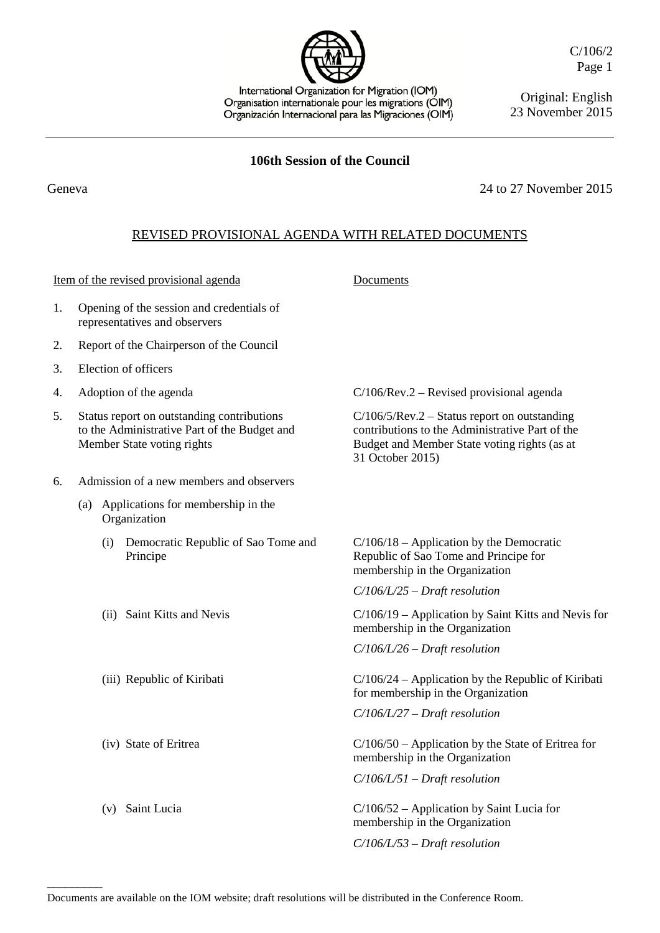International Organization for Migration (IOM) Organisation internationale pour les migrations (OIM) Organización Internacional para las Migraciones (OIM) C/106/2 Page 1

Original: English 23 November 2015

## **106th Session of the Council**

Geneva 2015

## REVISED PROVISIONAL AGENDA WITH RELATED DOCUMENTS

Item of the revised provisional agenda Documents

| 1. Opening of the session and credentials of |
|----------------------------------------------|
| representatives and observers                |

- 2. Report of the Chairperson of the Council
- 3. Election of officers
- 
- 5. Status report on outstanding contributions to the Administrative Part of the Budget and Member State voting rights
- 6. Admission of a new members and observers
	- (a) Applications for membership in the Organization
		- (i) Democratic Republic of Sao Tome and Principe
		-
		-
		-
		-

 $\overline{\phantom{a}}$ 

4. Adoption of the agenda C/106/Rev.2 – Revised provisional agenda

C/106/5/Rev.2 – Status report on outstanding contributions to the Administrative Part of the Budget and Member State voting rights (as at 31 October 2015)

C/106/18 – Application by the Democratic Republic of Sao Tome and Principe for membership in the Organization

*C/106/L/25 – Draft resolution*

(ii) Saint Kitts and Nevis C/106/19 – Application by Saint Kitts and Nevis for membership in the Organization

*C/106/L/26 – Draft resolution*

(iii) Republic of Kiribati C/106/24 – Application by the Republic of Kiribati for membership in the Organization

*C/106/L/27 – Draft resolution*

(iv) State of Eritrea C/106/50 – Application by the State of Eritrea for membership in the Organization

*C/106/L/51 – Draft resolution*

(v) Saint Lucia C/106/52 – Application by Saint Lucia for membership in the Organization

*C/106/L/53 – Draft resolution*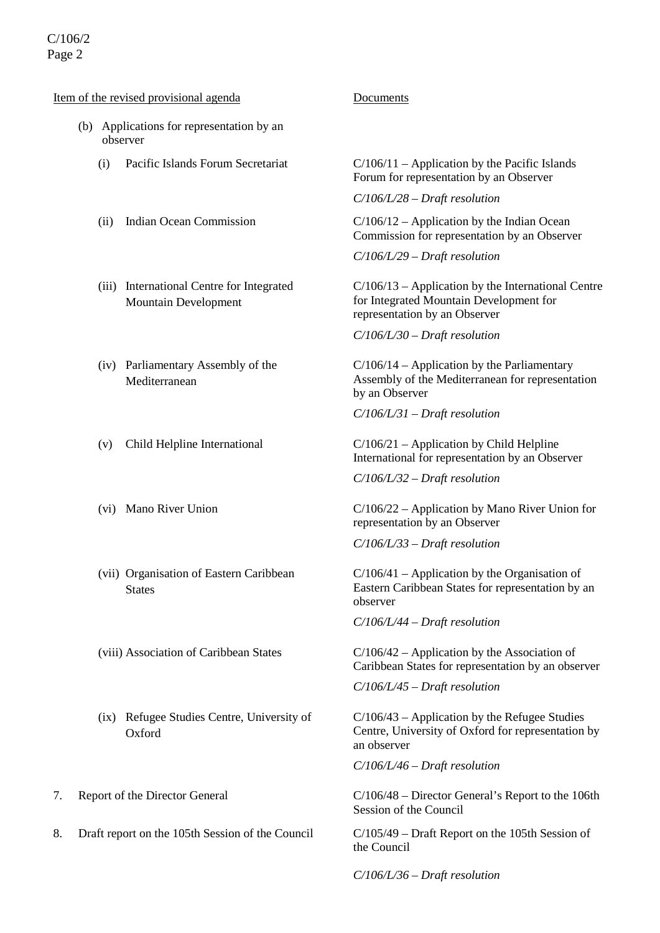# C/106/2 Page 2

### Item of the revised provisional agenda Documents

- (b) Applications for representation by an observer
	-
	-
	- (iii) International Centre for Integrated Mountain Development
	- (iv) Parliamentary Assembly of the Mediterranean
	-
	-
	- (vii) Organisation of Eastern Caribbean **States**
	-
	- (ix) Refugee Studies Centre, University of **Oxford**
- 
- 8. Draft report on the 105th Session of the Council C/105/49 Draft Report on the 105th Session of

(i) Pacific Islands Forum Secretariat C/106/11 – Application by the Pacific Islands Forum for representation by an Observer

*C/106/L/28 – Draft resolution*

(ii) Indian Ocean Commission  $C/106/12 -$  Application by the Indian Ocean Commission for representation by an Observer

*C/106/L/29 – Draft resolution*

C/106/13 – Application by the International Centre for Integrated Mountain Development for representation by an Observer

*C/106/L/30 – Draft resolution*

 $C/106/14$  – Application by the Parliamentary Assembly of the Mediterranean for representation by an Observer

*C/106/L/31 – Draft resolution*

(v) Child Helpline International C/106/21 – Application by Child Helpline International for representation by an Observer

*C/106/L/32 – Draft resolution*

(vi) Mano River Union C/106/22 – Application by Mano River Union for representation by an Observer

*C/106/L/33 – Draft resolution*

C/106/41 – Application by the Organisation of Eastern Caribbean States for representation by an observer

*C/106/L/44 – Draft resolution*

(viii) Association of Caribbean States  $C/106/42 -$  Application by the Association of Caribbean States for representation by an observer

*C/106/L/45 – Draft resolution*

C/106/43 – Application by the Refugee Studies Centre, University of Oxford for representation by an observer

*C/106/L/46 – Draft resolution*

7. Report of the Director General C/106/48 – Director General's Report to the 106th Session of the Council

the Council

*C/106/L/36 – Draft resolution*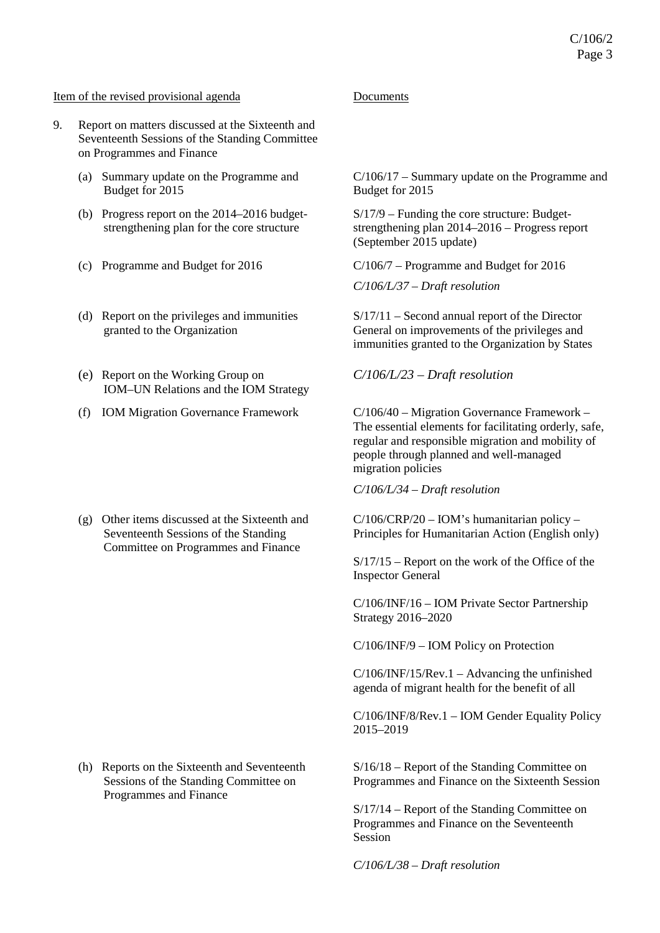### Item of the revised provisional agenda Documents

- 9. Report on matters discussed at the Sixteenth and Seventeenth Sessions of the Standing Committee on Programmes and Finance
	- (a) Summary update on the Programme and Budget for 2015
	- (b) Progress report on the 2014–2016 budgetstrengthening plan for the core structure
	-
	- (d) Report on the privileges and immunities granted to the Organization
	- (e) Report on the Working Group on IOM–UN Relations and the IOM Strategy
	-

(g) Other items discussed at the Sixteenth and Seventeenth Sessions of the Standing Committee on Programmes and Finance

(h) Reports on the Sixteenth and Seventeenth Sessions of the Standing Committee on Programmes and Finance

C/106/17 – Summary update on the Programme and Budget for 2015

S/17/9 – Funding the core structure: Budgetstrengthening plan 2014–2016 – Progress report (September 2015 update)

(c) Programme and Budget for 2016 C/106/7 – Programme and Budget for 2016

*C/106/L/37 – Draft resolution*

S/17/11 – Second annual report of the Director General on improvements of the privileges and immunities granted to the Organization by States

*C/106/L/23 – Draft resolution*

(f) IOM Migration Governance Framework C/106/40 – Migration Governance Framework – The essential elements for facilitating orderly, safe, regular and responsible migration and mobility of people through planned and well-managed migration policies

*C/106/L/34 – Draft resolution*

 $C/106/CRP/20 - IOM's humanitarian policy –$ Principles for Humanitarian Action (English only)

S/17/15 – Report on the work of the Office of the Inspector General

C/106/INF/16 – IOM Private Sector Partnership Strategy 2016–2020

C/106/INF/9 – IOM Policy on Protection

C/106/INF/15/Rev.1 – Advancing the unfinished agenda of migrant health for the benefit of all

C/106/INF/8/Rev.1 – IOM Gender Equality Policy 2015–2019

S/16/18 – Report of the Standing Committee on Programmes and Finance on the Sixteenth Session

S/17/14 – Report of the Standing Committee on Programmes and Finance on the Seventeenth Session

*C/106/L/38 – Draft resolution*